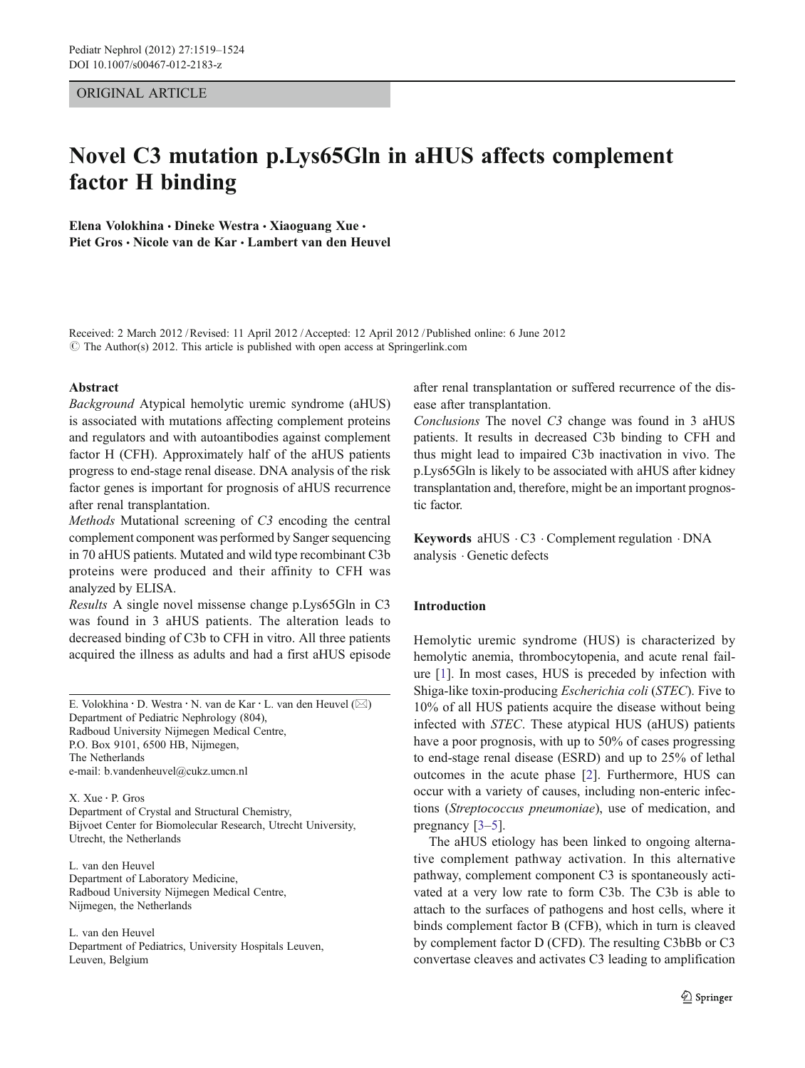## ORIGINAL ARTICLE

# Novel C3 mutation p.Lys65Gln in aHUS affects complement factor H binding

Elena Volokhina · Dineke Westra · Xiaoguang Xue · Piet Gros · Nicole van de Kar · Lambert van den Heuvel

Received: 2 March 2012 /Revised: 11 April 2012 /Accepted: 12 April 2012 / Published online: 6 June 2012  $\odot$  The Author(s) 2012. This article is published with open access at Springerlink.com

#### Abstract

Background Atypical hemolytic uremic syndrome (aHUS) is associated with mutations affecting complement proteins and regulators and with autoantibodies against complement factor H (CFH). Approximately half of the aHUS patients progress to end-stage renal disease. DNA analysis of the risk factor genes is important for prognosis of aHUS recurrence after renal transplantation.

Methods Mutational screening of C3 encoding the central complement component was performed by Sanger sequencing in 70 aHUS patients. Mutated and wild type recombinant C3b proteins were produced and their affinity to CFH was analyzed by ELISA.

Results A single novel missense change p.Lys65Gln in C3 was found in 3 aHUS patients. The alteration leads to decreased binding of C3b to CFH in vitro. All three patients acquired the illness as adults and had a first aHUS episode

E. Volokhina  $\cdot$  D. Westra  $\cdot$  N. van de Kar  $\cdot$  L. van den Heuvel ( $\boxtimes$ ) Department of Pediatric Nephrology (804), Radboud University Nijmegen Medical Centre, P.O. Box 9101, 6500 HB, Nijmegen, The Netherlands e-mail: b.vandenheuvel@cukz.umcn.nl

X. Xue : P. Gros

Department of Crystal and Structural Chemistry, Bijvoet Center for Biomolecular Research, Utrecht University, Utrecht, the Netherlands

L. van den Heuvel Department of Laboratory Medicine, Radboud University Nijmegen Medical Centre, Nijmegen, the Netherlands

L. van den Heuvel Department of Pediatrics, University Hospitals Leuven, Leuven, Belgium

after renal transplantation or suffered recurrence of the disease after transplantation.

Conclusions The novel C3 change was found in 3 aHUS patients. It results in decreased C3b binding to CFH and thus might lead to impaired C3b inactivation in vivo. The p.Lys65Gln is likely to be associated with aHUS after kidney transplantation and, therefore, might be an important prognostic factor.

Keywords aHUS  $\cdot$  C3  $\cdot$  Complement regulation  $\cdot$  DNA analysis . Genetic defects

## Introduction

Hemolytic uremic syndrome (HUS) is characterized by hemolytic anemia, thrombocytopenia, and acute renal failure [[1\]](#page-5-0). In most cases, HUS is preceded by infection with Shiga-like toxin-producing Escherichia coli (STEC). Five to 10% of all HUS patients acquire the disease without being infected with STEC. These atypical HUS (aHUS) patients have a poor prognosis, with up to 50% of cases progressing to end-stage renal disease (ESRD) and up to 25% of lethal outcomes in the acute phase [[2\]](#page-5-0). Furthermore, HUS can occur with a variety of causes, including non-enteric infections (Streptococcus pneumoniae), use of medication, and pregnancy [[3](#page-5-0)–[5\]](#page-5-0).

The aHUS etiology has been linked to ongoing alternative complement pathway activation. In this alternative pathway, complement component C3 is spontaneously activated at a very low rate to form C3b. The C3b is able to attach to the surfaces of pathogens and host cells, where it binds complement factor B (CFB), which in turn is cleaved by complement factor D (CFD). The resulting C3bBb or C3 convertase cleaves and activates C3 leading to amplification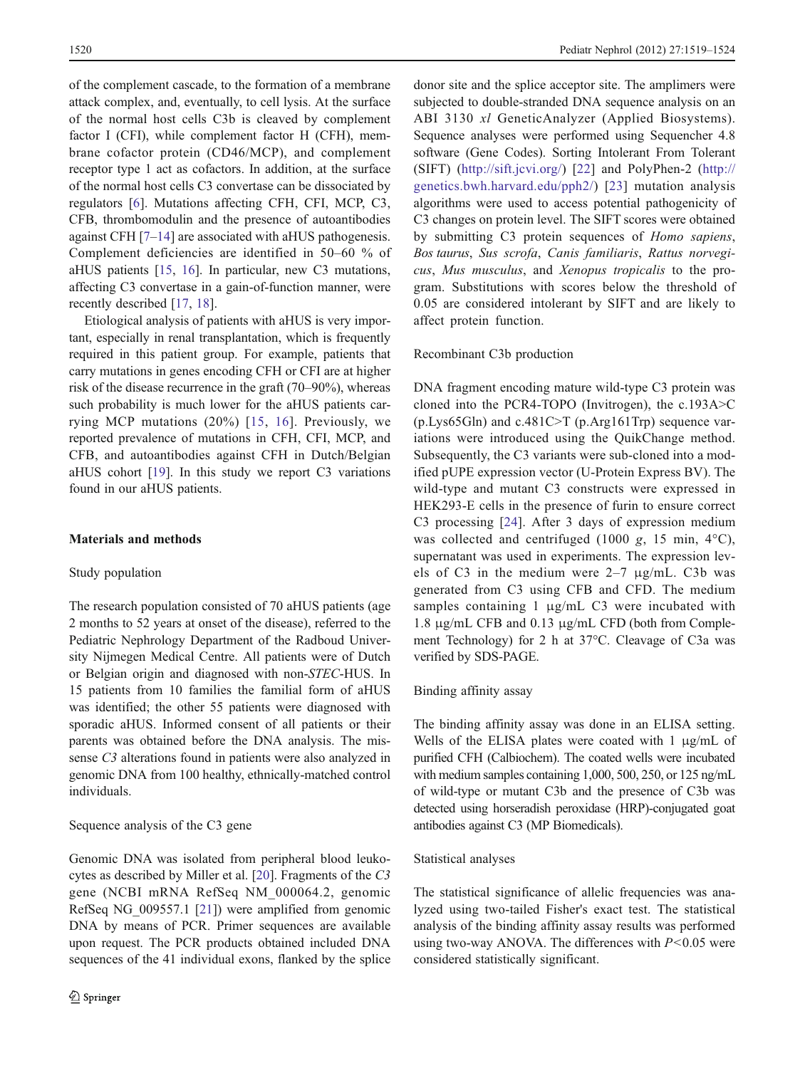of the complement cascade, to the formation of a membrane attack complex, and, eventually, to cell lysis. At the surface of the normal host cells C3b is cleaved by complement factor I (CFI), while complement factor H (CFH), membrane cofactor protein (CD46/MCP), and complement receptor type 1 act as cofactors. In addition, at the surface of the normal host cells C3 convertase can be dissociated by regulators [[6\]](#page-5-0). Mutations affecting CFH, CFI, MCP, C3, CFB, thrombomodulin and the presence of autoantibodies against CFH [\[7](#page-5-0)–[14](#page-5-0)] are associated with aHUS pathogenesis. Complement deficiencies are identified in 50–60 % of aHUS patients [[15,](#page-5-0) [16](#page-5-0)]. In particular, new C3 mutations, affecting C3 convertase in a gain-of-function manner, were recently described [[17,](#page-5-0) [18](#page-5-0)].

Etiological analysis of patients with aHUS is very important, especially in renal transplantation, which is frequently required in this patient group. For example, patients that carry mutations in genes encoding CFH or CFI are at higher risk of the disease recurrence in the graft (70–90%), whereas such probability is much lower for the aHUS patients carrying MCP mutations (20%) [\[15](#page-5-0), [16](#page-5-0)]. Previously, we reported prevalence of mutations in CFH, CFI, MCP, and CFB, and autoantibodies against CFH in Dutch/Belgian aHUS cohort [[19\]](#page-5-0). In this study we report C3 variations found in our aHUS patients.

## Materials and methods

## Study population

The research population consisted of 70 aHUS patients (age 2 months to 52 years at onset of the disease), referred to the Pediatric Nephrology Department of the Radboud University Nijmegen Medical Centre. All patients were of Dutch or Belgian origin and diagnosed with non-STEC-HUS. In 15 patients from 10 families the familial form of aHUS was identified; the other 55 patients were diagnosed with sporadic aHUS. Informed consent of all patients or their parents was obtained before the DNA analysis. The missense C3 alterations found in patients were also analyzed in genomic DNA from 100 healthy, ethnically-matched control individuals.

## Sequence analysis of the C3 gene

Genomic DNA was isolated from peripheral blood leukocytes as described by Miller et al. [[20\]](#page-5-0). Fragments of the C3 gene (NCBI mRNA RefSeq NM\_000064.2, genomic RefSeq NG\_009557.1 [[21\]](#page-5-0)) were amplified from genomic DNA by means of PCR. Primer sequences are available upon request. The PCR products obtained included DNA sequences of the 41 individual exons, flanked by the splice donor site and the splice acceptor site. The amplimers were subjected to double-stranded DNA sequence analysis on an ABI 3130 xl GeneticAnalyzer (Applied Biosystems). Sequence analyses were performed using Sequencher 4.8 software (Gene Codes). Sorting Intolerant From Tolerant (SIFT) ([http://sift.jcvi.org/\)](http://sift.jcvi.org/) [[22](#page-5-0)] and PolyPhen-2 ([http://](http://genetics.bwh.harvard.edu/pph2/) [genetics.bwh.harvard.edu/pph2/](http://genetics.bwh.harvard.edu/pph2/)) [[23](#page-5-0)] mutation analysis algorithms were used to access potential pathogenicity of C3 changes on protein level. The SIFT scores were obtained by submitting C3 protein sequences of Homo sapiens, Bos taurus, Sus scrofa, Canis familiaris, Rattus norvegicus, Mus musculus, and Xenopus tropicalis to the program. Substitutions with scores below the threshold of 0.05 are considered intolerant by SIFT and are likely to affect protein function.

#### Recombinant C3b production

DNA fragment encoding mature wild-type C3 protein was cloned into the PCR4-TOPO (Invitrogen), the c.193A>C (p.Lys65Gln) and c.481C>T (p.Arg161Trp) sequence variations were introduced using the QuikChange method. Subsequently, the C3 variants were sub-cloned into a modified pUPE expression vector (U-Protein Express BV). The wild-type and mutant C3 constructs were expressed in HEK293-E cells in the presence of furin to ensure correct C3 processing [\[24](#page-5-0)]. After 3 days of expression medium was collected and centrifuged (1000 g, 15 min,  $4^{\circ}$ C), supernatant was used in experiments. The expression levels of C3 in the medium were 2–7 μg/mL. C3b was generated from C3 using CFB and CFD. The medium samples containing 1 μg/mL C3 were incubated with 1.8 μg/mL CFB and 0.13 μg/mL CFD (both from Complement Technology) for 2 h at 37°C. Cleavage of C3a was verified by SDS-PAGE.

## Binding affinity assay

The binding affinity assay was done in an ELISA setting. Wells of the ELISA plates were coated with 1 μg/mL of purified CFH (Calbiochem). The coated wells were incubated with medium samples containing 1,000, 500, 250, or 125 ng/mL of wild-type or mutant C3b and the presence of C3b was detected using horseradish peroxidase (HRP)-conjugated goat antibodies against C3 (MP Biomedicals).

#### Statistical analyses

The statistical significance of allelic frequencies was analyzed using two-tailed Fisher's exact test. The statistical analysis of the binding affinity assay results was performed using two-way ANOVA. The differences with  $P<0.05$  were considered statistically significant.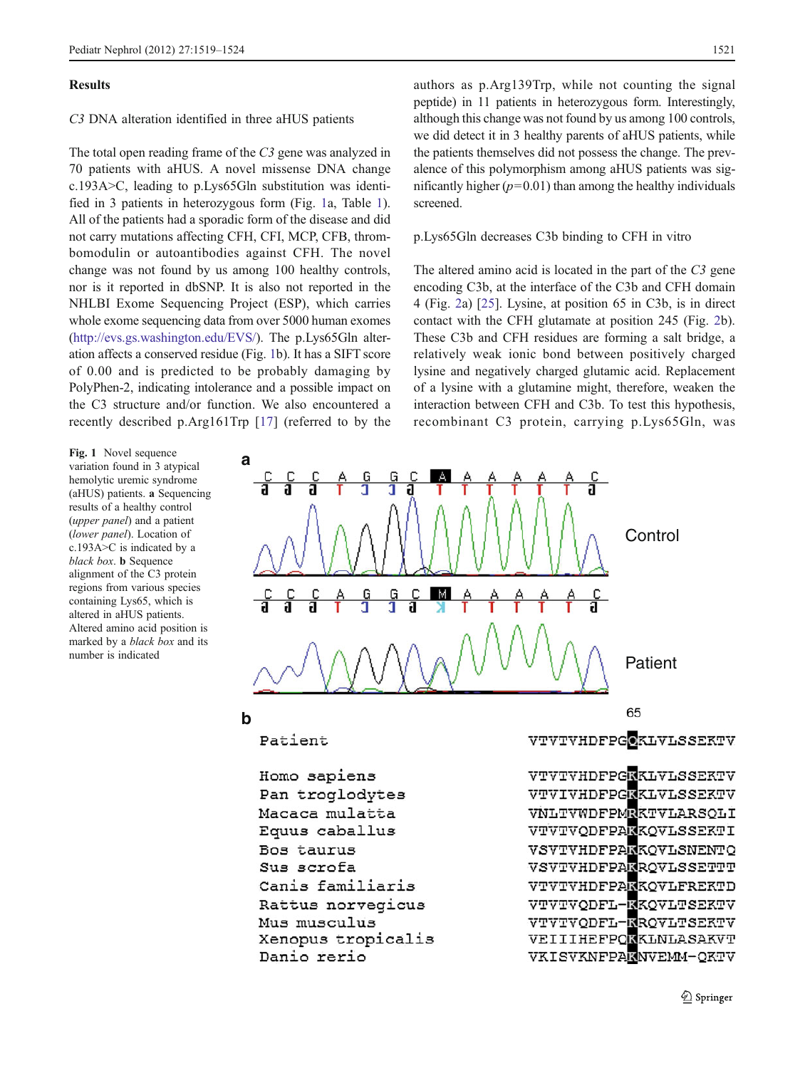#### <span id="page-2-0"></span>Results

#### C3 DNA alteration identified in three aHUS patients

The total open reading frame of the C3 gene was analyzed in 70 patients with aHUS. A novel missense DNA change c.193A>C, leading to p.Lys65Gln substitution was identified in 3 patients in heterozygous form (Fig. 1a, Table [1](#page-3-0)). All of the patients had a sporadic form of the disease and did not carry mutations affecting CFH, CFI, MCP, CFB, thrombomodulin or autoantibodies against CFH. The novel change was not found by us among 100 healthy controls, nor is it reported in dbSNP. It is also not reported in the NHLBI Exome Sequencing Project (ESP), which carries whole exome sequencing data from over 5000 human exomes [\(http://evs.gs.washington.edu/EVS/](http://evs.gs.washington.edu/EVS/)). The p.Lys65Gln alteration affects a conserved residue (Fig. 1b). It has a SIFT score of 0.00 and is predicted to be probably damaging by PolyPhen-2, indicating intolerance and a possible impact on the C3 structure and/or function. We also encountered a recently described p.Arg161Trp [\[17](#page-5-0)] (referred to by the

Fig. 1 Novel sequence variation found in 3 atypical hemolytic uremic syndrome (aHUS) patients. a Sequencing results of a healthy control (upper panel) and a patient (lower panel). Location of c.193A>C is indicated by a black box. **b** Sequence alignment of the C3 protein regions from various species containing Lys65, which is altered in aHUS patients. Altered amino acid position is marked by a black box and its number is indicated

authors as p.Arg139Trp, while not counting the signal peptide) in 11 patients in heterozygous form. Interestingly, although this change was not found by us among 100 controls, we did detect it in 3 healthy parents of aHUS patients, while the patients themselves did not possess the change. The prevalence of this polymorphism among aHUS patients was significantly higher  $(p=0.01)$  than among the healthy individuals screened.

### p.Lys65Gln decreases C3b binding to CFH in vitro

The altered amino acid is located in the part of the C3 gene encoding C3b, at the interface of the C3b and CFH domain 4 (Fig. [2a](#page-3-0)) [\[25](#page-5-0)]. Lysine, at position 65 in C3b, is in direct contact with the CFH glutamate at position 245 (Fig. [2b](#page-3-0)). These C3b and CFH residues are forming a salt bridge, a relatively weak ionic bond between positively charged lysine and negatively charged glutamic acid. Replacement of a lysine with a glutamine might, therefore, weaken the interaction between CFH and C3b. To test this hypothesis, recombinant C3 protein, carrying p.Lys65Gln, was

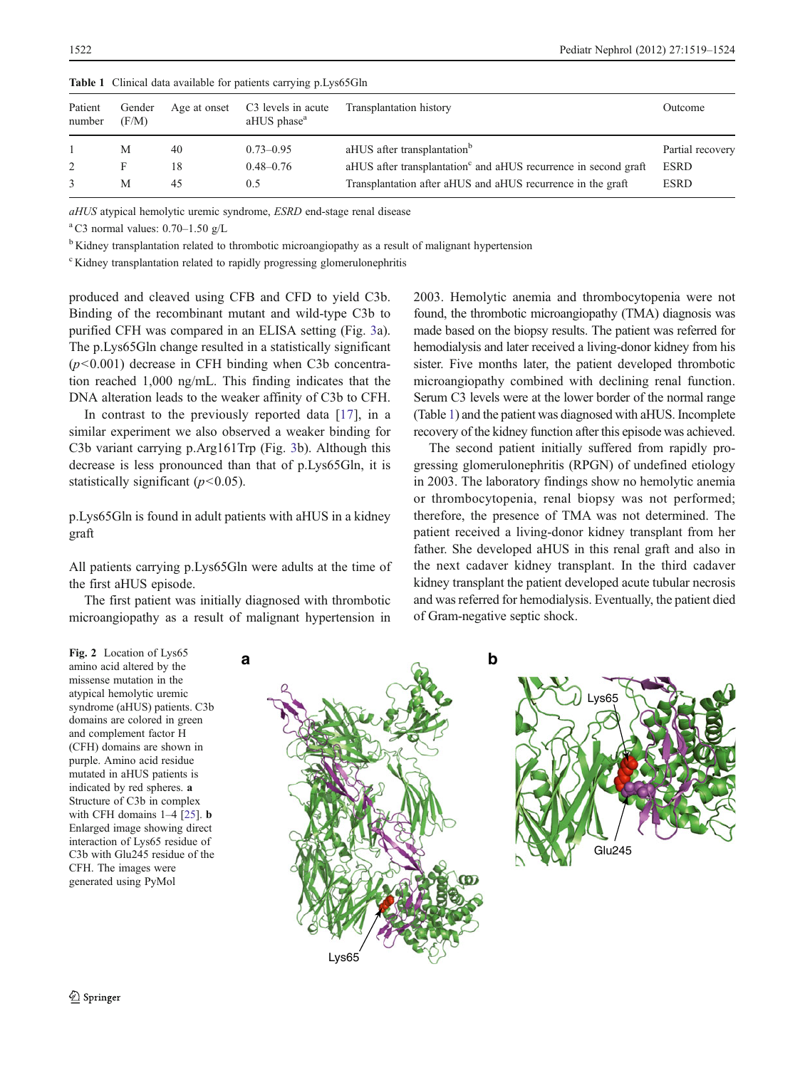| Gender<br>(F/M) | Age at onset | C <sub>3</sub> levels in acute<br>aHUS phase <sup>a</sup> | Transplantation history                                                     | Outcome          |
|-----------------|--------------|-----------------------------------------------------------|-----------------------------------------------------------------------------|------------------|
| M               | 40           | $0.73 - 0.95$                                             | aHUS after transplantation <sup>b</sup>                                     | Partial recovery |
| F               | 18           | $0.48 - 0.76$                                             | aHUS after transplantation <sup>c</sup> and aHUS recurrence in second graft | <b>ESRD</b>      |
| M               | 45           | 0.5                                                       | Transplantation after aHUS and aHUS recurrence in the graft                 | <b>ESRD</b>      |
|                 |              |                                                           |                                                                             |                  |

<span id="page-3-0"></span>Table 1 Clinical data available for patients carrying p.Lys65Gln

aHUS atypical hemolytic uremic syndrome, ESRD end-stage renal disease

 $\mathrm{^{a}C3}$  normal values: 0.70–1.50 g/L

<sup>b</sup> Kidney transplantation related to thrombotic microangiopathy as a result of malignant hypertension

<sup>c</sup> Kidney transplantation related to rapidly progressing glomerulonephritis

produced and cleaved using CFB and CFD to yield C3b. Binding of the recombinant mutant and wild-type C3b to purified CFH was compared in an ELISA setting (Fig. [3](#page-4-0)a). The p.Lys65Gln change resulted in a statistically significant  $(p<0.001)$  decrease in CFH binding when C3b concentration reached 1,000 ng/mL. This finding indicates that the DNA alteration leads to the weaker affinity of C3b to CFH.

In contrast to the previously reported data [[17\]](#page-5-0), in a similar experiment we also observed a weaker binding for C3b variant carrying p.Arg161Trp (Fig. [3](#page-4-0)b). Although this decrease is less pronounced than that of p.Lys65Gln, it is statistically significant  $(p<0.05)$ .

p.Lys65Gln is found in adult patients with aHUS in a kidney graft

All patients carrying p.Lys65Gln were adults at the time of the first aHUS episode.

The first patient was initially diagnosed with thrombotic microangiopathy as a result of malignant hypertension in 2003. Hemolytic anemia and thrombocytopenia were not found, the thrombotic microangiopathy (TMA) diagnosis was made based on the biopsy results. The patient was referred for hemodialysis and later received a living-donor kidney from his sister. Five months later, the patient developed thrombotic microangiopathy combined with declining renal function. Serum C3 levels were at the lower border of the normal range (Table 1) and the patient was diagnosed with aHUS. Incomplete recovery of the kidney function after this episode was achieved.

The second patient initially suffered from rapidly progressing glomerulonephritis (RPGN) of undefined etiology in 2003. The laboratory findings show no hemolytic anemia or thrombocytopenia, renal biopsy was not performed; therefore, the presence of TMA was not determined. The patient received a living-donor kidney transplant from her father. She developed aHUS in this renal graft and also in the next cadaver kidney transplant. In the third cadaver kidney transplant the patient developed acute tubular necrosis and was referred for hemodialysis. Eventually, the patient died of Gram-negative septic shock.

Fig. 2 Location of Lys65 amino acid altered by the missense mutation in the atypical hemolytic uremic syndrome (aHUS) patients. C3b domains are colored in green and complement factor H (CFH) domains are shown in purple. Amino acid residue mutated in aHUS patients is indicated by red spheres. a Structure of C3b in complex with CFH domains 1-4 [\[25\]](#page-5-0). **b** Enlarged image showing direct interaction of Lys65 residue of C3b with Glu245 residue of the CFH. The images were generated using PyMol

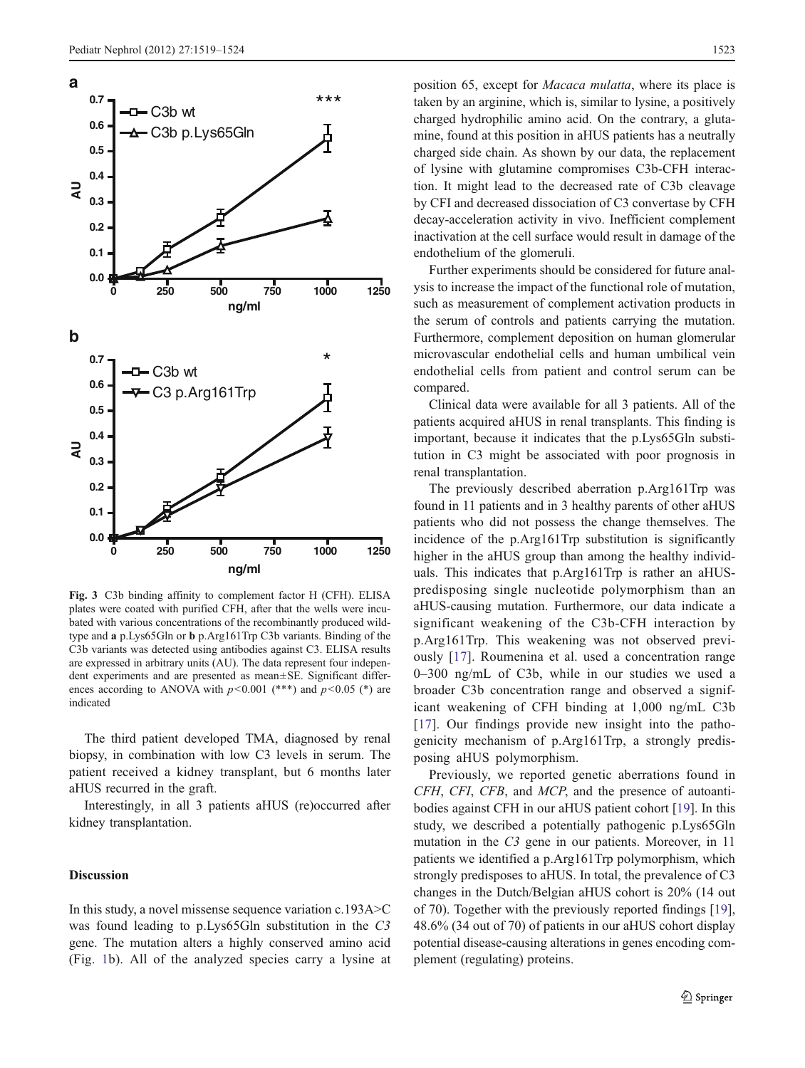<span id="page-4-0"></span>

Fig. 3 C3b binding affinity to complement factor H (CFH). ELISA plates were coated with purified CFH, after that the wells were incubated with various concentrations of the recombinantly produced wildtype and a p.Lys65Gln or b p.Arg161Trp C3b variants. Binding of the C3b variants was detected using antibodies against C3. ELISA results are expressed in arbitrary units (AU). The data represent four independent experiments and are presented as mean±SE. Significant differences according to ANOVA with  $p<0.001$  (\*\*\*) and  $p<0.05$  (\*) are indicated

The third patient developed TMA, diagnosed by renal biopsy, in combination with low C3 levels in serum. The patient received a kidney transplant, but 6 months later aHUS recurred in the graft.

Interestingly, in all 3 patients aHUS (re)occurred after kidney transplantation.

## Discussion

In this study, a novel missense sequence variation c.193A>C was found leading to p.Lys65Gln substitution in the C3 gene. The mutation alters a highly conserved amino acid (Fig. [1](#page-2-0)b). All of the analyzed species carry a lysine at position 65, except for Macaca mulatta, where its place is taken by an arginine, which is, similar to lysine, a positively charged hydrophilic amino acid. On the contrary, a glutamine, found at this position in aHUS patients has a neutrally charged side chain. As shown by our data, the replacement of lysine with glutamine compromises C3b-CFH interaction. It might lead to the decreased rate of C3b cleavage by CFI and decreased dissociation of C3 convertase by CFH decay-acceleration activity in vivo. Inefficient complement inactivation at the cell surface would result in damage of the endothelium of the glomeruli.

Further experiments should be considered for future analysis to increase the impact of the functional role of mutation, such as measurement of complement activation products in the serum of controls and patients carrying the mutation. Furthermore, complement deposition on human glomerular microvascular endothelial cells and human umbilical vein endothelial cells from patient and control serum can be compared.

Clinical data were available for all 3 patients. All of the patients acquired aHUS in renal transplants. This finding is important, because it indicates that the p.Lys65Gln substitution in C3 might be associated with poor prognosis in renal transplantation.

The previously described aberration p.Arg161Trp was found in 11 patients and in 3 healthy parents of other aHUS patients who did not possess the change themselves. The incidence of the p.Arg161Trp substitution is significantly higher in the aHUS group than among the healthy individuals. This indicates that p.Arg161Trp is rather an aHUSpredisposing single nucleotide polymorphism than an aHUS-causing mutation. Furthermore, our data indicate a significant weakening of the C3b-CFH interaction by p.Arg161Trp. This weakening was not observed previously [[17\]](#page-5-0). Roumenina et al. used a concentration range 0–300 ng/mL of C3b, while in our studies we used a broader C3b concentration range and observed a significant weakening of CFH binding at 1,000 ng/mL C3b [\[17\]](#page-5-0). Our findings provide new insight into the pathogenicity mechanism of p.Arg161Trp, a strongly predisposing aHUS polymorphism.

Previously, we reported genetic aberrations found in CFH, CFI, CFB, and MCP, and the presence of autoantibodies against CFH in our aHUS patient cohort [[19\]](#page-5-0). In this study, we described a potentially pathogenic p.Lys65Gln mutation in the C3 gene in our patients. Moreover, in 11 patients we identified a p.Arg161Trp polymorphism, which strongly predisposes to aHUS. In total, the prevalence of C3 changes in the Dutch/Belgian aHUS cohort is 20% (14 out of 70). Together with the previously reported findings [[19\]](#page-5-0), 48.6% (34 out of 70) of patients in our aHUS cohort display potential disease-causing alterations in genes encoding complement (regulating) proteins.